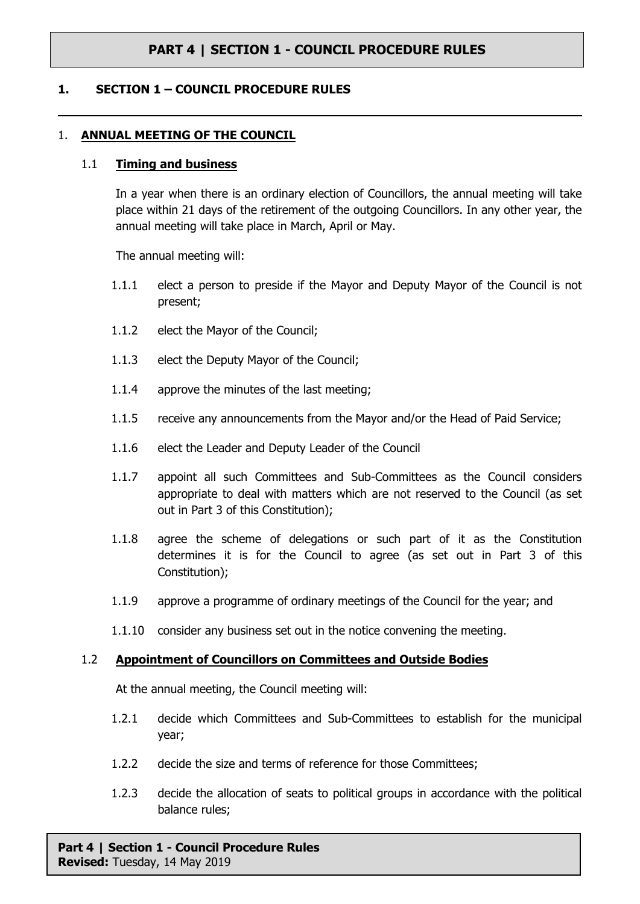### **1. SECTION 1 – COUNCIL PROCEDURE RULES**

#### 1. **ANNUAL MEETING OF THE COUNCIL**

#### 1.1 **Timing and business**

In a year when there is an ordinary election of Councillors, the annual meeting will take place within 21 days of the retirement of the outgoing Councillors. In any other year, the annual meeting will take place in March, April or May.

The annual meeting will:

- 1.1.1 elect a person to preside if the Mayor and Deputy Mayor of the Council is not present;
- 1.1.2 elect the Mayor of the Council;
- 1.1.3 elect the Deputy Mayor of the Council;
- 1.1.4 approve the minutes of the last meeting;
- 1.1.5 receive any announcements from the Mayor and/or the Head of Paid Service;
- 1.1.6 elect the Leader and Deputy Leader of the Council
- 1.1.7 appoint all such Committees and Sub-Committees as the Council considers appropriate to deal with matters which are not reserved to the Council (as set out in Part 3 of this Constitution);
- 1.1.8 agree the scheme of delegations or such part of it as the Constitution determines it is for the Council to agree (as set out in Part 3 of this Constitution);
- 1.1.9 approve a programme of ordinary meetings of the Council for the year; and
- 1.1.10 consider any business set out in the notice convening the meeting.

#### 1.2 **Appointment of Councillors on Committees and Outside Bodies**

At the annual meeting, the Council meeting will:

- 1.2.1 decide which Committees and Sub-Committees to establish for the municipal year;
- 1.2.2 decide the size and terms of reference for those Committees;
- 1.2.3 decide the allocation of seats to political groups in accordance with the political balance rules;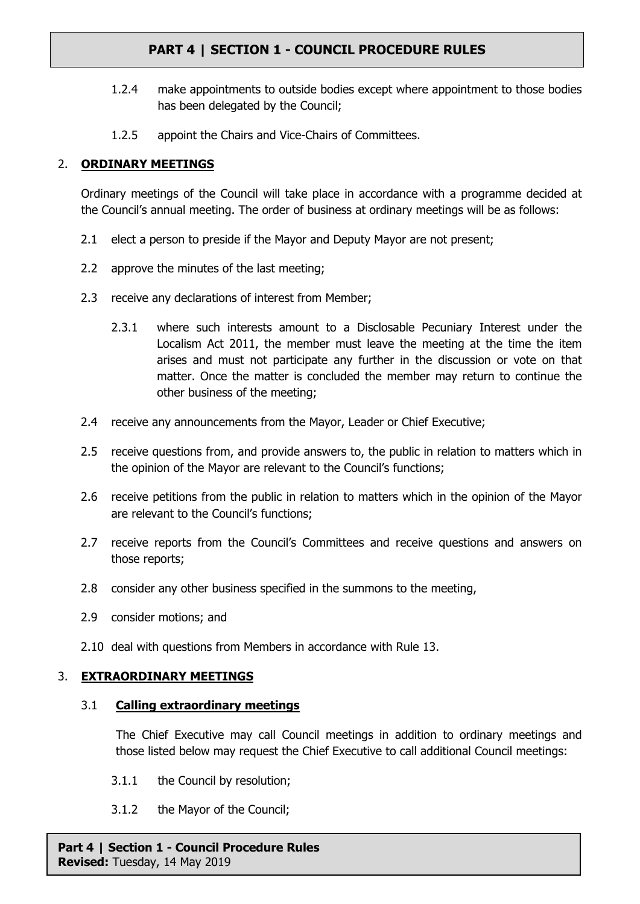- 1.2.4 make appointments to outside bodies except where appointment to those bodies has been delegated by the Council;
- 1.2.5 appoint the Chairs and Vice-Chairs of Committees.

# 2. **ORDINARY MEETINGS**

Ordinary meetings of the Council will take place in accordance with a programme decided at the Council's annual meeting. The order of business at ordinary meetings will be as follows:

- 2.1 elect a person to preside if the Mayor and Deputy Mayor are not present;
- 2.2 approve the minutes of the last meeting;
- 2.3 receive any declarations of interest from Member;
	- 2.3.1 where such interests amount to a Disclosable Pecuniary Interest under the Localism Act 2011, the member must leave the meeting at the time the item arises and must not participate any further in the discussion or vote on that matter. Once the matter is concluded the member may return to continue the other business of the meeting;
- 2.4 receive any announcements from the Mayor, Leader or Chief Executive;
- 2.5 receive questions from, and provide answers to, the public in relation to matters which in the opinion of the Mayor are relevant to the Council's functions;
- 2.6 receive petitions from the public in relation to matters which in the opinion of the Mayor are relevant to the Council's functions;
- 2.7 receive reports from the Council's Committees and receive questions and answers on those reports;
- 2.8 consider any other business specified in the summons to the meeting,
- 2.9 consider motions; and
- 2.10 deal with questions from Members in accordance with Rule [13](#page-7-0).

# 3. **EXTRAORDINARY MEETINGS**

# 3.1 **Calling extraordinary meetings**

The Chief Executive may call Council meetings in addition to ordinary meetings and those listed below may request the Chief Executive to call additional Council meetings:

- 3.1.1 the Council by resolution;
- 3.1.2 the Mayor of the Council;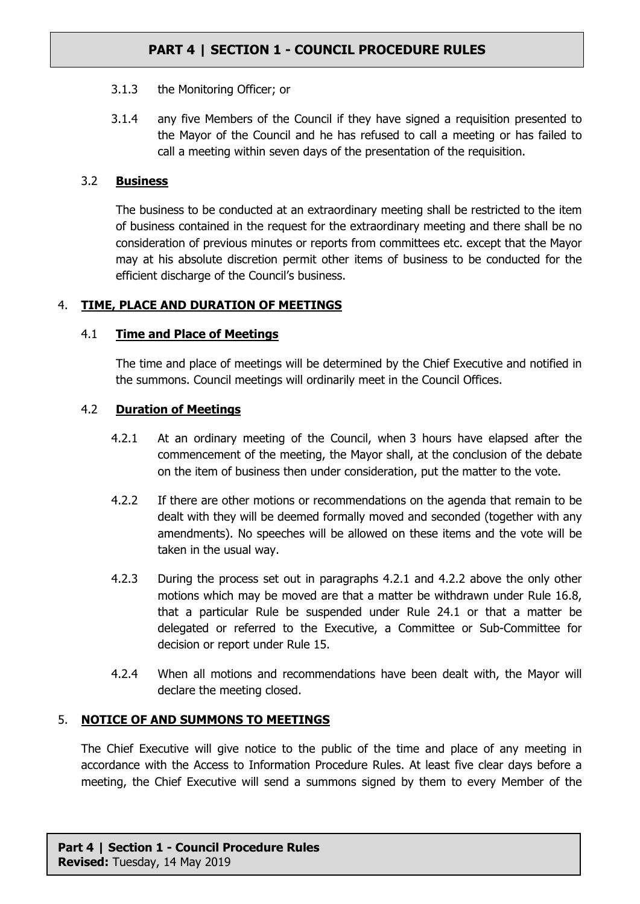- 3.1.3 the Monitoring Officer; or
- 3.1.4 any five Members of the Council if they have signed a requisition presented to the Mayor of the Council and he has refused to call a meeting or has failed to call a meeting within seven days of the presentation of the requisition.

## 3.2 **Business**

The business to be conducted at an extraordinary meeting shall be restricted to the item of business contained in the request for the extraordinary meeting and there shall be no consideration of previous minutes or reports from committees etc. except that the Mayor may at his absolute discretion permit other items of business to be conducted for the efficient discharge of the Council's business.

# <span id="page-2-2"></span>4. **TIME, PLACE AND DURATION OF MEETINGS**

## 4.1 **Time and Place of Meetings**

The time and place of meetings will be determined by the Chief Executive and notified in the summons. Council meetings will ordinarily meet in the Council Offices.

## 4.2 **Duration of Meetings**

- <span id="page-2-0"></span>4.2.1 At an ordinary meeting of the Council, when 3 hours have elapsed after the commencement of the meeting, the Mayor shall, at the conclusion of the debate on the item of business then under consideration, put the matter to the vote.
- <span id="page-2-1"></span>4.2.2 If there are other motions or recommendations on the agenda that remain to be dealt with they will be deemed formally moved and seconded (together with any amendments). No speeches will be allowed on these items and the vote will be taken in the usual way.
- 4.2.3 During the process set out in paragraphs [4.2.1](#page-2-0) and [4.2.2](#page-2-1) above the only other motions which may be moved are that a matter be withdrawn under Rule [16.8](#page-14-0), that a particular Rule be suspended under Rule [24.1](#page-19-0) or that a matter be delegated or referred to the Executive, a Committee or Sub-Committee for decision or report under Rule [15.](#page-11-0)
- 4.2.4 When all motions and recommendations have been dealt with, the Mayor will declare the meeting closed.

# 5. **NOTICE OF AND SUMMONS TO MEETINGS**

The Chief Executive will give notice to the public of the time and place of any meeting in accordance with the Access to Information Procedure Rules. At least five clear days before a meeting, the Chief Executive will send a summons signed by them to every Member of the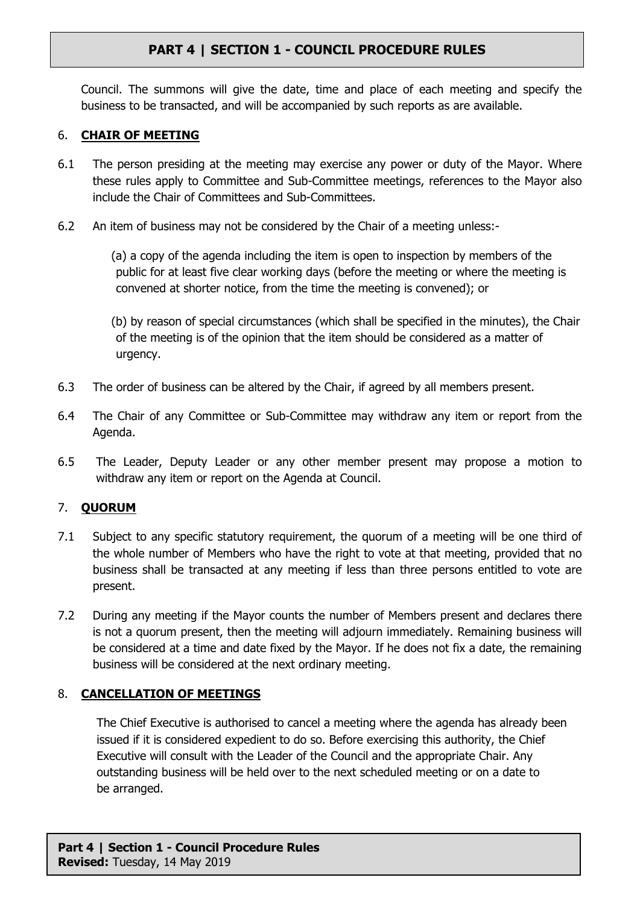Council. The summons will give the date, time and place of each meeting and specify the business to be transacted, and will be accompanied by such reports as are available.

# 6. **CHAIR OF MEETING**

- 6.1 The person presiding at the meeting may exercise any power or duty of the Mayor. Where these rules apply to Committee and Sub-Committee meetings, references to the Mayor also include the Chair of Committees and Sub-Committees.
- 6.2 An item of business may not be considered by the Chair of a meeting unless:-

(a) a copy of the agenda including the item is open to inspection by members of the public for at least five clear working days (before the meeting or where the meeting is convened at shorter notice, from the time the meeting is convened); or

(b) by reason of special circumstances (which shall be specified in the minutes), the Chair of the meeting is of the opinion that the item should be considered as a matter of urgency.

- 6.3 The order of business can be altered by the Chair, if agreed by all members present.
- 6.4 The Chair of any Committee or Sub-Committee may withdraw any item or report from the Agenda.
- 6.5 The Leader, Deputy Leader or any other member present may propose a motion to withdraw any item or report on the Agenda at Council.

# <span id="page-3-0"></span>7. **QUORUM**

- 7.1 Subject to any specific statutory requirement, the quorum of a meeting will be one third of the whole number of Members who have the right to vote at that meeting, provided that no business shall be transacted at any meeting if less than three persons entitled to vote are present.
- 7.2 During any meeting if the Mayor counts the number of Members present and declares there is not a quorum present, then the meeting will adjourn immediately. Remaining business will be considered at a time and date fixed by the Mayor. If he does not fix a date, the remaining business will be considered at the next ordinary meeting.

# 8. **CANCELLATION OF MEETINGS**

The Chief Executive is authorised to cancel a meeting where the agenda has already been issued if it is considered expedient to do so. Before exercising this authority, the Chief Executive will consult with the Leader of the Council and the appropriate Chair. Any outstanding business will be held over to the next scheduled meeting or on a date to be arranged.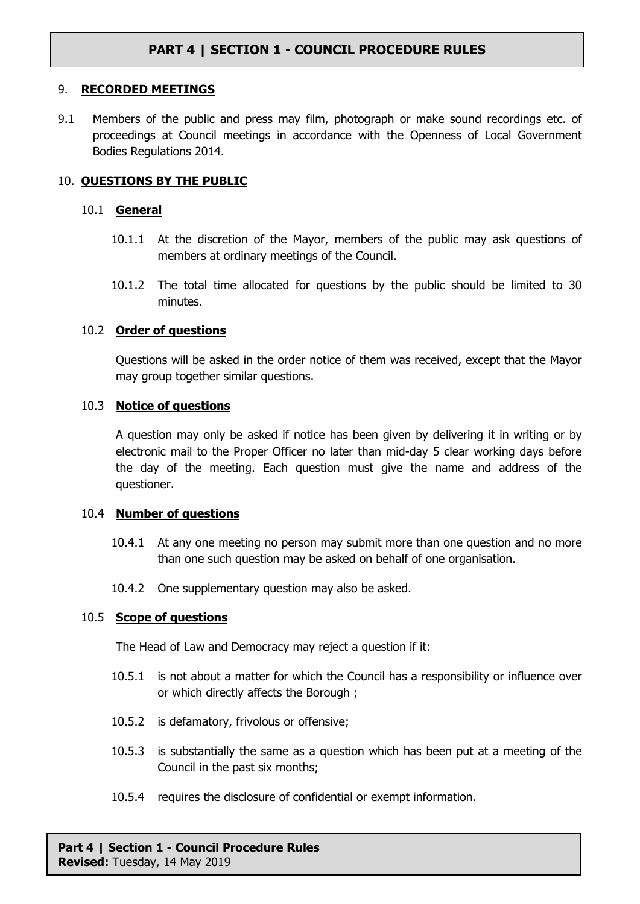#### 9. **RECORDED MEETINGS**

9.1 Members of the public and press may film, photograph or make sound recordings etc. of proceedings at Council meetings in accordance with the Openness of Local Government Bodies Regulations 2014.

#### 10. **QUESTIONS BY THE PUBLIC**

#### 10.1 **General**

- 10.1.1 At the discretion of the Mayor, members of the public may ask questions of members at ordinary meetings of the Council.
- 10.1.2 The total time allocated for questions by the public should be limited to 30 minutes.

#### 10.2 **Order of questions**

Questions will be asked in the order notice of them was received, except that the Mayor may group together similar questions.

#### 10.3 **Notice of questions**

A question may only be asked if notice has been given by delivering it in writing or by electronic mail to the Proper Officer no later than mid-day 5 clear working days before the day of the meeting. Each question must give the name and address of the questioner.

#### 10.4 **Number of questions**

- 10.4.1 At any one meeting no person may submit more than one question and no more than one such question may be asked on behalf of one organisation.
- 10.4.2 One supplementary question may also be asked.

#### <span id="page-4-0"></span>10.5 **Scope of questions**

The Head of Law and Democracy may reject a question if it:

- 10.5.1 is not about a matter for which the Council has a responsibility or influence over or which directly affects the Borough ;
- 10.5.2 is defamatory, frivolous or offensive;
- 10.5.3 is substantially the same as a question which has been put at a meeting of the Council in the past six months;
- 10.5.4 requires the disclosure of confidential or exempt information.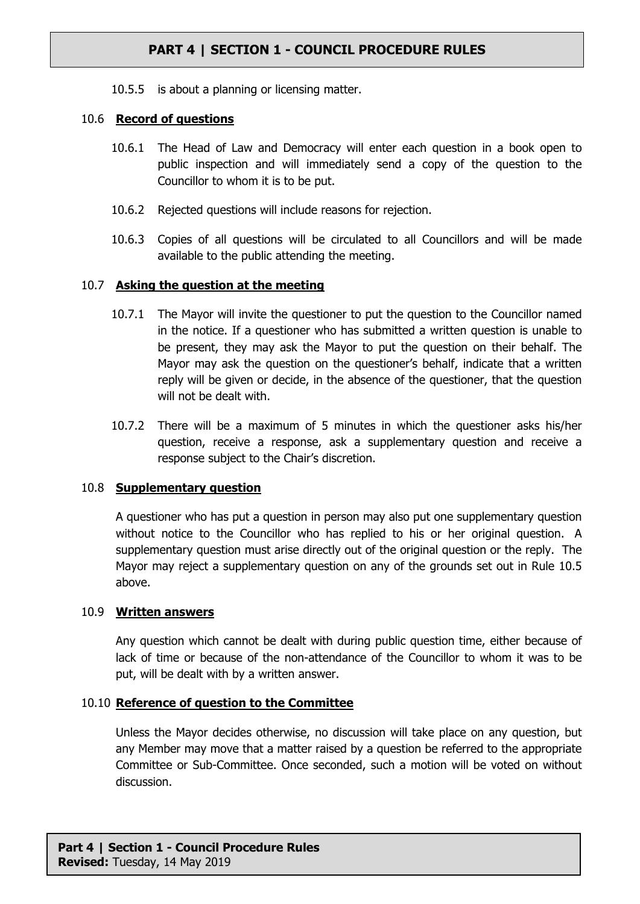10.5.5 is about a planning or licensing matter.

## 10.6 **Record of questions**

- 10.6.1 The Head of Law and Democracy will enter each question in a book open to public inspection and will immediately send a copy of the question to the Councillor to whom it is to be put.
- 10.6.2 Rejected questions will include reasons for rejection.
- 10.6.3 Copies of all questions will be circulated to all Councillors and will be made available to the public attending the meeting.

## 10.7 **Asking the question at the meeting**

- 10.7.1 The Mayor will invite the questioner to put the question to the Councillor named in the notice. If a questioner who has submitted a written question is unable to be present, they may ask the Mayor to put the question on their behalf. The Mayor may ask the question on the questioner's behalf, indicate that a written reply will be given or decide, in the absence of the questioner, that the question will not be dealt with.
- 10.7.2 There will be a maximum of 5 minutes in which the questioner asks his/her question, receive a response, ask a supplementary question and receive a response subject to the Chair's discretion.

# 10.8 **Supplementary question**

A questioner who has put a question in person may also put one supplementary question without notice to the Councillor who has replied to his or her original question. A supplementary question must arise directly out of the original question or the reply. The Mayor may reject a supplementary question on any of the grounds set out in Rule [10.5](#page-4-0) above.

#### 10.9 **Written answers**

Any question which cannot be dealt with during public question time, either because of lack of time or because of the non-attendance of the Councillor to whom it was to be put, will be dealt with by a written answer.

#### 10.10 **Reference of question to the Committee**

Unless the Mayor decides otherwise, no discussion will take place on any question, but any Member may move that a matter raised by a question be referred to the appropriate Committee or Sub-Committee. Once seconded, such a motion will be voted on without discussion.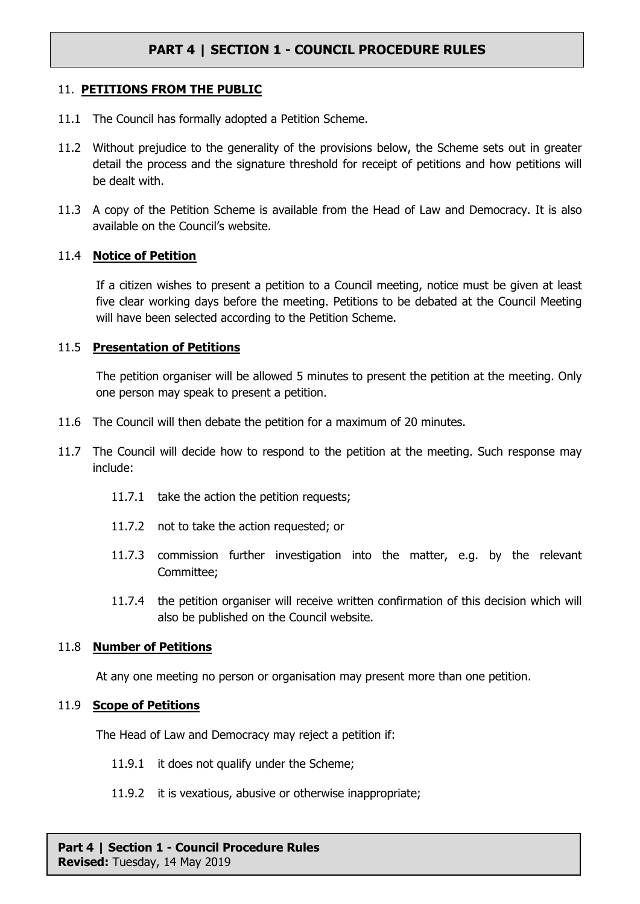#### 11. **PETITIONS FROM THE PUBLIC**

- 11.1 The Council has formally adopted a Petition Scheme.
- 11.2 Without prejudice to the generality of the provisions below, the Scheme sets out in greater detail the process and the signature threshold for receipt of petitions and how petitions will be dealt with.
- 11.3 A copy of the Petition Scheme is available from the Head of Law and Democracy. It is also available on the Council's website.

#### 11.4 **Notice of Petition**

If a citizen wishes to present a petition to a Council meeting, notice must be given at least five clear working days before the meeting. Petitions to be debated at the Council Meeting will have been selected according to the Petition Scheme.

### 11.5 **Presentation of Petitions**

The petition organiser will be allowed 5 minutes to present the petition at the meeting. Only one person may speak to present a petition.

- 11.6 The Council will then debate the petition for a maximum of 20 minutes.
- 11.7 The Council will decide how to respond to the petition at the meeting. Such response may include:
	- 11.7.1 take the action the petition requests;
	- 11.7.2 not to take the action requested; or
	- 11.7.3 commission further investigation into the matter, e.g. by the relevant Committee;
	- 11.7.4 the petition organiser will receive written confirmation of this decision which will also be published on the Council website.

#### 11.8 **Number of Petitions**

At any one meeting no person or organisation may present more than one petition.

#### 11.9 **Scope of Petitions**

The Head of Law and Democracy may reject a petition if:

- 11.9.1 it does not qualify under the Scheme;
- 11.9.2 it is vexatious, abusive or otherwise inappropriate;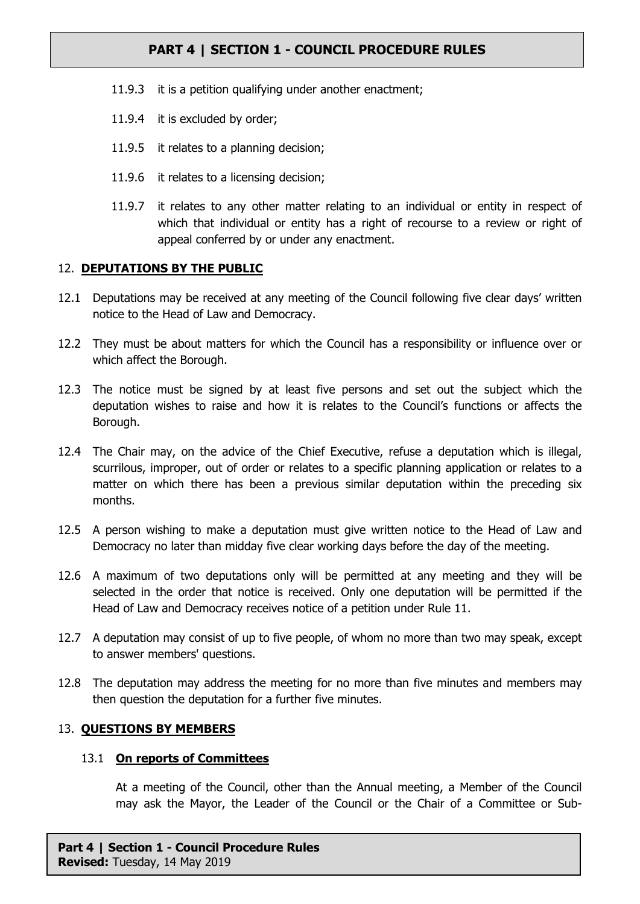- 11.9.3 it is a petition qualifying under another enactment;
- 11.9.4 it is excluded by order;
- 11.9.5 it relates to a planning decision;
- 11.9.6 it relates to a licensing decision;
- 11.9.7 it relates to any other matter relating to an individual or entity in respect of which that individual or entity has a right of recourse to a review or right of appeal conferred by or under any enactment.

# 12. **DEPUTATIONS BY THE PUBLIC**

- 12.1 Deputations may be received at any meeting of the Council following five clear days' written notice to the Head of Law and Democracy.
- 12.2 They must be about matters for which the Council has a responsibility or influence over or which affect the Borough.
- 12.3 The notice must be signed by at least five persons and set out the subject which the deputation wishes to raise and how it is relates to the Council's functions or affects the Borough.
- 12.4 The Chair may, on the advice of the Chief Executive, refuse a deputation which is illegal, scurrilous, improper, out of order or relates to a specific planning application or relates to a matter on which there has been a previous similar deputation within the preceding six months.
- 12.5 A person wishing to make a deputation must give written notice to the Head of Law and Democracy no later than midday five clear working days before the day of the meeting.
- 12.6 A maximum of two deputations only will be permitted at any meeting and they will be selected in the order that notice is received. Only one deputation will be permitted if the Head of Law and Democracy receives notice of a petition under Rule 11.
- 12.7 A deputation may consist of up to five people, of whom no more than two may speak, except to answer members' questions.
- 12.8 The deputation may address the meeting for no more than five minutes and members may then question the deputation for a further five minutes.

# <span id="page-7-0"></span>13. **QUESTIONS BY MEMBERS**

#### 13.1 **On reports of Committees**

At a meeting of the Council, other than the Annual meeting, a Member of the Council may ask the Mayor, the Leader of the Council or the Chair of a Committee or Sub-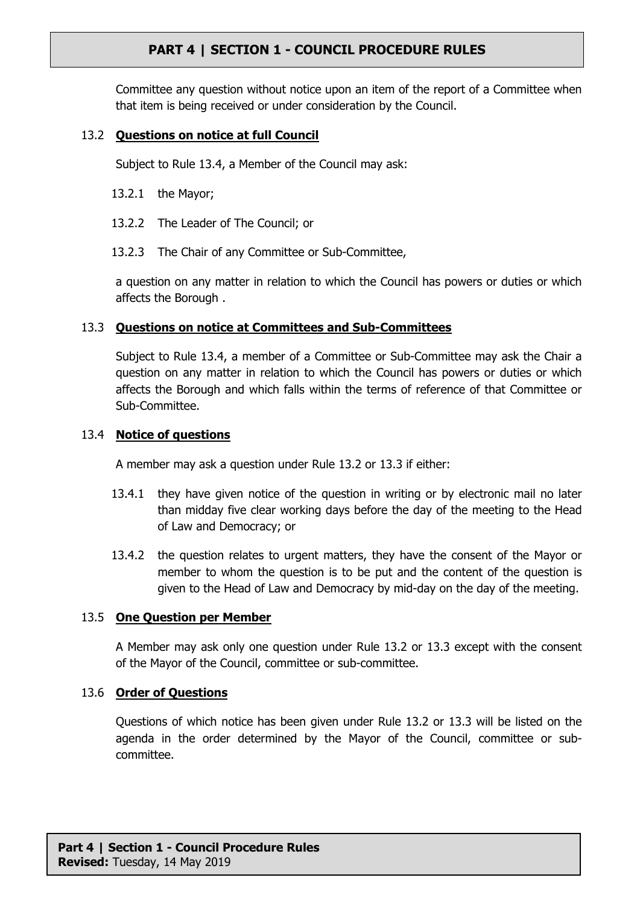Committee any question without notice upon an item of the report of a Committee when that item is being received or under consideration by the Council.

## <span id="page-8-1"></span>13.2 **Questions on notice at full Council**

Subject to Rule [13.4](#page-8-0), a Member of the Council may ask:

- 13.2.1 the Mayor;
- 13.2.2 The Leader of The Council; or
- 13.2.3 The Chair of any Committee or Sub-Committee,

a question on any matter in relation to which the Council has powers or duties or which affects the Borough .

## <span id="page-8-2"></span>13.3 **Questions on notice at Committees and Sub-Committees**

Subject to Rule [13.4](#page-8-0), a member of a Committee or Sub-Committee may ask the Chair a question on any matter in relation to which the Council has powers or duties or which affects the Borough and which falls within the terms of reference of that Committee or Sub-Committee.

#### <span id="page-8-0"></span>13.4 **Notice of questions**

A member may ask a question under Rule [13.2](#page-8-1) or [13.3](#page-8-2) if either:

- 13.4.1 they have given notice of the question in writing or by electronic mail no later than midday five clear working days before the day of the meeting to the Head of Law and Democracy; or
- 13.4.2 the question relates to urgent matters, they have the consent of the Mayor or member to whom the question is to be put and the content of the question is given to the Head of Law and Democracy by mid-day on the day of the meeting.

#### 13.5 **One Question per Member**

A Member may ask only one question under Rule [13.2](#page-8-1) or [13.3](#page-8-2) except with the consent of the Mayor of the Council, committee or sub-committee.

#### 13.6 **Order of Questions**

Questions of which notice has been given under Rule [13.2](#page-8-1) or [13.3](#page-8-2) will be listed on the agenda in the order determined by the Mayor of the Council, committee or subcommittee.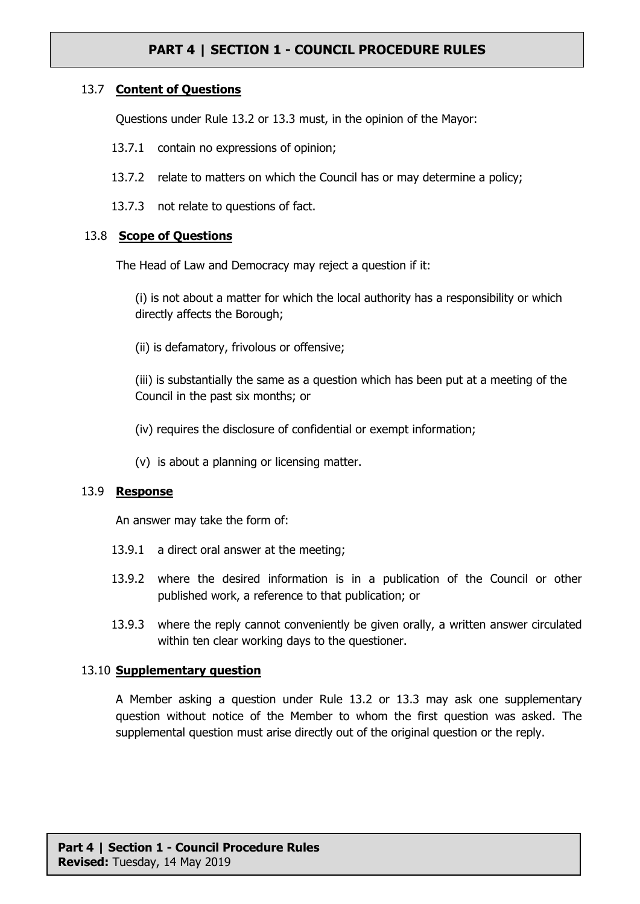## 13.7 **Content of Questions**

Questions under Rule [13.2](#page-8-1) or [13.3](#page-8-2) must, in the opinion of the Mayor:

- 13.7.1 contain no expressions of opinion;
- 13.7.2 relate to matters on which the Council has or may determine a policy;
- 13.7.3 not relate to questions of fact.

## 13.8 **Scope of Questions**

The Head of Law and Democracy may reject a question if it:

(i) is not about a matter for which the local authority has a responsibility or which directly affects the Borough;

(ii) is defamatory, frivolous or offensive;

(iii) is substantially the same as a question which has been put at a meeting of the Council in the past six months; or

(iv) requires the disclosure of confidential or exempt information;

(v) is about a planning or licensing matter.

#### 13.9 **Response**

An answer may take the form of:

- 13.9.1 a direct oral answer at the meeting;
- 13.9.2 where the desired information is in a publication of the Council or other published work, a reference to that publication; or
- 13.9.3 where the reply cannot conveniently be given orally, a written answer circulated within ten clear working days to the questioner.

#### 13.10 **Supplementary question**

A Member asking a question under Rule [13.2](#page-8-1) or [13.3](#page-8-2) may ask one supplementary question without notice of the Member to whom the first question was asked. The supplemental question must arise directly out of the original question or the reply.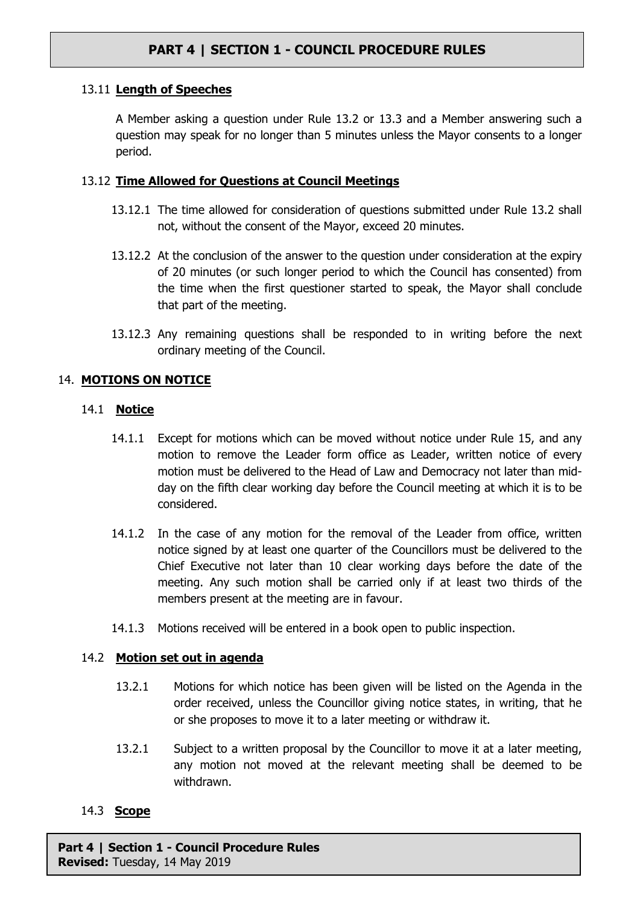# 13.11 **Length of Speeches**

A Member asking a question under Rule [13.2](#page-8-1) or [13.3](#page-8-2) and a Member answering such a question may speak for no longer than 5 minutes unless the Mayor consents to a longer period.

## 13.12 **Time Allowed for Questions at Council Meetings**

- 13.12.1 The time allowed for consideration of questions submitted under Rule [13.2](#page-8-1) shall not, without the consent of the Mayor, exceed 20 minutes.
- 13.12.2 At the conclusion of the answer to the question under consideration at the expiry of 20 minutes (or such longer period to which the Council has consented) from the time when the first questioner started to speak, the Mayor shall conclude that part of the meeting.
- 13.12.3 Any remaining questions shall be responded to in writing before the next ordinary meeting of the Council.

## 14. **MOTIONS ON NOTICE**

#### 14.1 **Notice**

- 14.1.1 Except for motions which can be moved without notice under Rule [15](#page-11-0), and any motion to remove the Leader form office as Leader, written notice of every motion must be delivered to the Head of Law and Democracy not later than midday on the fifth clear working day before the Council meeting at which it is to be considered.
- 14.1.2 In the case of any motion for the removal of the Leader from office, written notice signed by at least one quarter of the Councillors must be delivered to the Chief Executive not later than 10 clear working days before the date of the meeting. Any such motion shall be carried only if at least two thirds of the members present at the meeting are in favour.
- 14.1.3 Motions received will be entered in a book open to public inspection.

# 14.2 **Motion set out in agenda**

- 13.2.1 Motions for which notice has been given will be listed on the Agenda in the order received, unless the Councillor giving notice states, in writing, that he or she proposes to move it to a later meeting or withdraw it.
- 13.2.1 Subject to a written proposal by the Councillor to move it at a later meeting, any motion not moved at the relevant meeting shall be deemed to be withdrawn.

#### 14.3 **Scope**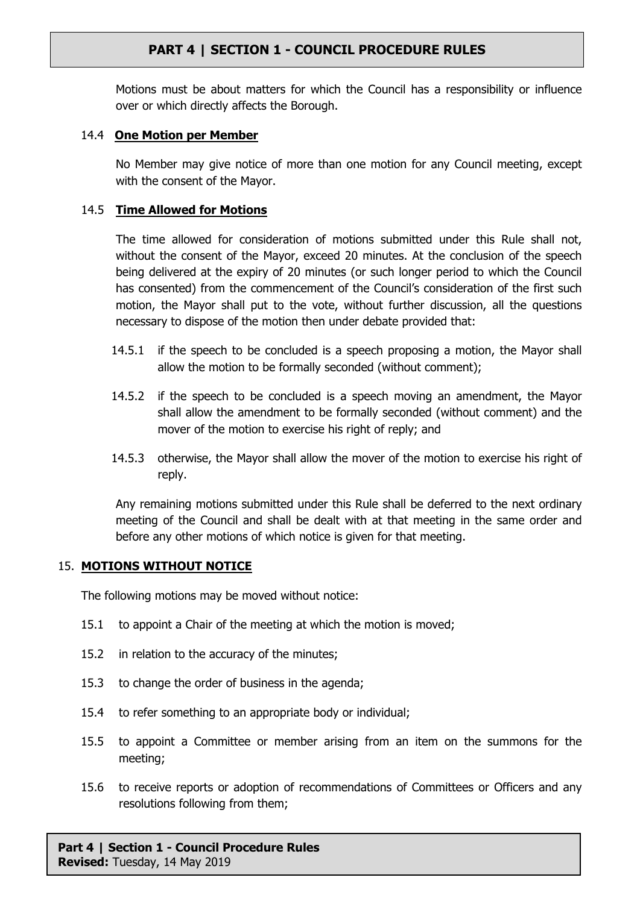Motions must be about matters for which the Council has a responsibility or influence over or which directly affects the Borough.

# 14.4 **One Motion per Member**

No Member may give notice of more than one motion for any Council meeting, except with the consent of the Mayor.

# 14.5 **Time Allowed for Motions**

The time allowed for consideration of motions submitted under this Rule shall not, without the consent of the Mayor, exceed 20 minutes. At the conclusion of the speech being delivered at the expiry of 20 minutes (or such longer period to which the Council has consented) from the commencement of the Council's consideration of the first such motion, the Mayor shall put to the vote, without further discussion, all the questions necessary to dispose of the motion then under debate provided that:

- 14.5.1 if the speech to be concluded is a speech proposing a motion, the Mayor shall allow the motion to be formally seconded (without comment);
- 14.5.2 if the speech to be concluded is a speech moving an amendment, the Mayor shall allow the amendment to be formally seconded (without comment) and the mover of the motion to exercise his right of reply; and
- 14.5.3 otherwise, the Mayor shall allow the mover of the motion to exercise his right of reply.

Any remaining motions submitted under this Rule shall be deferred to the next ordinary meeting of the Council and shall be dealt with at that meeting in the same order and before any other motions of which notice is given for that meeting.

# <span id="page-11-0"></span>15. **MOTIONS WITHOUT NOTICE**

The following motions may be moved without notice:

- 15.1 to appoint a Chair of the meeting at which the motion is moved;
- 15.2 in relation to the accuracy of the minutes;
- 15.3 to change the order of business in the agenda;
- 15.4 to refer something to an appropriate body or individual;
- 15.5 to appoint a Committee or member arising from an item on the summons for the meeting;
- 15.6 to receive reports or adoption of recommendations of Committees or Officers and any resolutions following from them;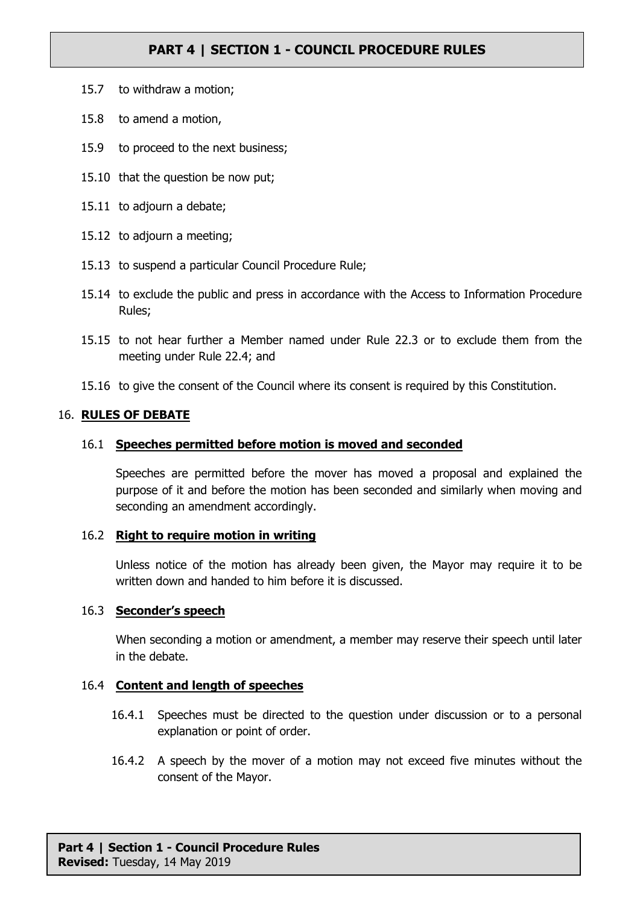- 15.7 to withdraw a motion;
- 15.8 to amend a motion,
- 15.9 to proceed to the next business;
- 15.10 that the question be now put;
- 15.11 to adjourn a debate;
- 15.12 to adjourn a meeting;
- 15.13 to suspend a particular Council Procedure Rule;
- 15.14 to exclude the public and press in accordance with the Access to Information Procedure Rules;
- 15.15 to not hear further a Member named under Rule [22.3](#page-18-0) or to exclude them from the meeting under Rule [22.4;](#page-18-1) and
- 15.16 to give the consent of the Council where its consent is required by this Constitution.

#### <span id="page-12-0"></span>16. **RULES OF DEBATE**

#### 16.1 **Speeches permitted before motion is moved and seconded**

Speeches are permitted before the mover has moved a proposal and explained the purpose of it and before the motion has been seconded and similarly when moving and seconding an amendment accordingly.

#### 16.2 **Right to require motion in writing**

Unless notice of the motion has already been given, the Mayor may require it to be written down and handed to him before it is discussed.

#### 16.3 **Seconder's speech**

When seconding a motion or amendment, a member may reserve their speech until later in the debate.

# 16.4 **Content and length of speeches**

- 16.4.1 Speeches must be directed to the question under discussion or to a personal explanation or point of order.
- 16.4.2 A speech by the mover of a motion may not exceed five minutes without the consent of the Mayor.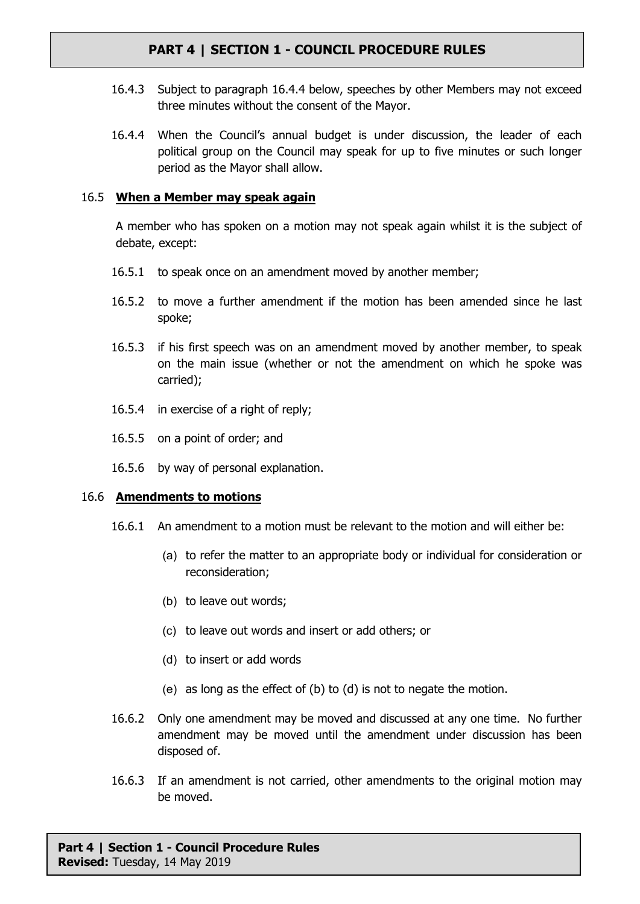- 16.4.3 Subject to paragraph [16.4.4](#page-13-0) below, speeches by other Members may not exceed three minutes without the consent of the Mayor.
- <span id="page-13-0"></span>16.4.4 When the Council's annual budget is under discussion, the leader of each political group on the Council may speak for up to five minutes or such longer period as the Mayor shall allow.

# 16.5 **When a Member may speak again**

A member who has spoken on a motion may not speak again whilst it is the subject of debate, except:

- 16.5.1 to speak once on an amendment moved by another member;
- 16.5.2 to move a further amendment if the motion has been amended since he last spoke;
- 16.5.3 if his first speech was on an amendment moved by another member, to speak on the main issue (whether or not the amendment on which he spoke was carried);
- 16.5.4 in exercise of a right of reply;
- 16.5.5 on a point of order; and
- 16.5.6 by way of personal explanation.

#### 16.6 **Amendments to motions**

- <span id="page-13-1"></span>16.6.1 An amendment to a motion must be relevant to the motion and will either be:
	- (a) to refer the matter to an appropriate body or individual for consideration or reconsideration;
	- (b) to leave out words;
	- (c) to leave out words and insert or add others; or
	- (d) to insert or add words
	- (e) as long as the effect of [\(b\)](#page-13-1) to [\(d\)](#page-13-2) is not to negate the motion.
- <span id="page-13-2"></span>16.6.2 Only one amendment may be moved and discussed at any one time. No further amendment may be moved until the amendment under discussion has been disposed of.
- 16.6.3 If an amendment is not carried, other amendments to the original motion may be moved.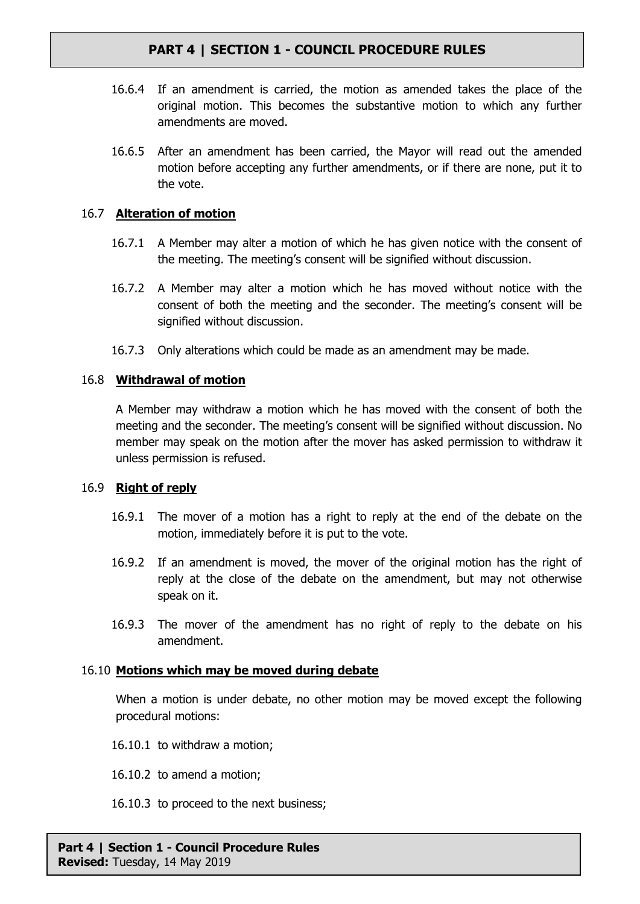- 16.6.4 If an amendment is carried, the motion as amended takes the place of the original motion. This becomes the substantive motion to which any further amendments are moved.
- 16.6.5 After an amendment has been carried, the Mayor will read out the amended motion before accepting any further amendments, or if there are none, put it to the vote.

# 16.7 **Alteration of motion**

- 16.7.1 A Member may alter a motion of which he has given notice with the consent of the meeting. The meeting's consent will be signified without discussion.
- 16.7.2 A Member may alter a motion which he has moved without notice with the consent of both the meeting and the seconder. The meeting's consent will be signified without discussion.
- 16.7.3 Only alterations which could be made as an amendment may be made.

# <span id="page-14-0"></span>16.8 **Withdrawal of motion**

A Member may withdraw a motion which he has moved with the consent of both the meeting and the seconder. The meeting's consent will be signified without discussion. No member may speak on the motion after the mover has asked permission to withdraw it unless permission is refused.

# 16.9 **Right of reply**

- 16.9.1 The mover of a motion has a right to reply at the end of the debate on the motion, immediately before it is put to the vote.
- 16.9.2 If an amendment is moved, the mover of the original motion has the right of reply at the close of the debate on the amendment, but may not otherwise speak on it.
- 16.9.3 The mover of the amendment has no right of reply to the debate on his amendment.

# 16.10 **Motions which may be moved during debate**

When a motion is under debate, no other motion may be moved except the following procedural motions:

16.10.1 to withdraw a motion;

- 16.10.2 to amend a motion;
- 16.10.3 to proceed to the next business;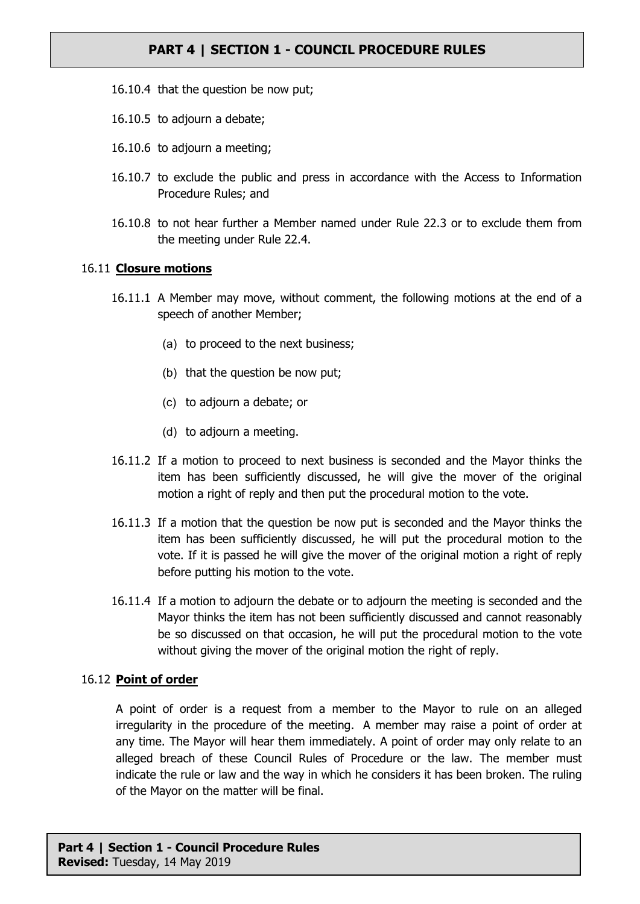- 16.10.4 that the question be now put;
- 16.10.5 to adjourn a debate;
- 16.10.6 to adjourn a meeting;
- 16.10.7 to exclude the public and press in accordance with the Access to Information Procedure Rules; and
- 16.10.8 to not hear further a Member named under Rule [22.3](#page-18-0) or to exclude them from the meeting under Rule [22.4](#page-18-1).

## 16.11 **Closure motions**

- 16.11.1 A Member may move, without comment, the following motions at the end of a speech of another Member;
	- (a) to proceed to the next business;
	- (b) that the question be now put;
	- (c) to adjourn a debate; or
	- (d) to adjourn a meeting.
- 16.11.2 If a motion to proceed to next business is seconded and the Mayor thinks the item has been sufficiently discussed, he will give the mover of the original motion a right of reply and then put the procedural motion to the vote.
- 16.11.3 If a motion that the question be now put is seconded and the Mayor thinks the item has been sufficiently discussed, he will put the procedural motion to the vote. If it is passed he will give the mover of the original motion a right of reply before putting his motion to the vote.
- 16.11.4 If a motion to adjourn the debate or to adjourn the meeting is seconded and the Mayor thinks the item has not been sufficiently discussed and cannot reasonably be so discussed on that occasion, he will put the procedural motion to the vote without giving the mover of the original motion the right of reply.

#### 16.12 **Point of order**

A point of order is a request from a member to the Mayor to rule on an alleged irregularity in the procedure of the meeting. A member may raise a point of order at any time. The Mayor will hear them immediately. A point of order may only relate to an alleged breach of these Council Rules of Procedure or the law. The member must indicate the rule or law and the way in which he considers it has been broken. The ruling of the Mayor on the matter will be final.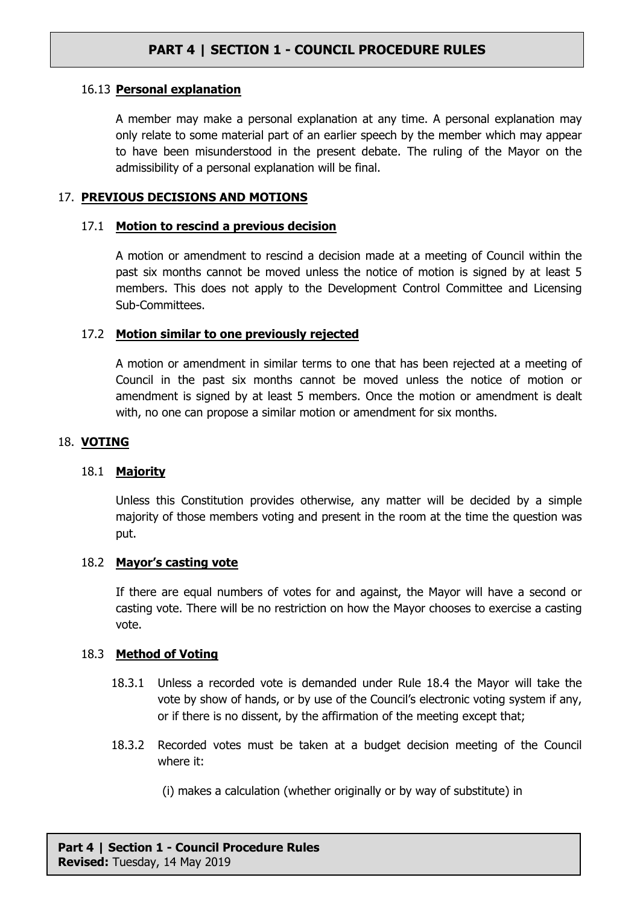## 16.13 **Personal explanation**

A member may make a personal explanation at any time. A personal explanation may only relate to some material part of an earlier speech by the member which may appear to have been misunderstood in the present debate. The ruling of the Mayor on the admissibility of a personal explanation will be final.

## <span id="page-16-0"></span>17. **PREVIOUS DECISIONS AND MOTIONS**

## 17.1 **Motion to rescind a previous decision**

A motion or amendment to rescind a decision made at a meeting of Council within the past six months cannot be moved unless the notice of motion is signed by at least 5 members. This does not apply to the Development Control Committee and Licensing Sub-Committees.

## 17.2 **Motion similar to one previously rejected**

A motion or amendment in similar terms to one that has been rejected at a meeting of Council in the past six months cannot be moved unless the notice of motion or amendment is signed by at least 5 members. Once the motion or amendment is dealt with, no one can propose a similar motion or amendment for six months.

# 18. **VOTING**

#### 18.1 **Majority**

Unless this Constitution provides otherwise, any matter will be decided by a simple majority of those members voting and present in the room at the time the question was put.

#### 18.2 **Mayor's casting vote**

If there are equal numbers of votes for and against, the Mayor will have a second or casting vote. There will be no restriction on how the Mayor chooses to exercise a casting vote.

#### 18.3 **Method of Voting**

- 18.3.1 Unless a recorded vote is demanded under Rule [18.4](#page-17-0) the Mayor will take the vote by show of hands, or by use of the Council's electronic voting system if any, or if there is no dissent, by the affirmation of the meeting except that;
- 18.3.2 Recorded votes must be taken at a budget decision meeting of the Council where it:
	- (i) makes a calculation (whether originally or by way of substitute) in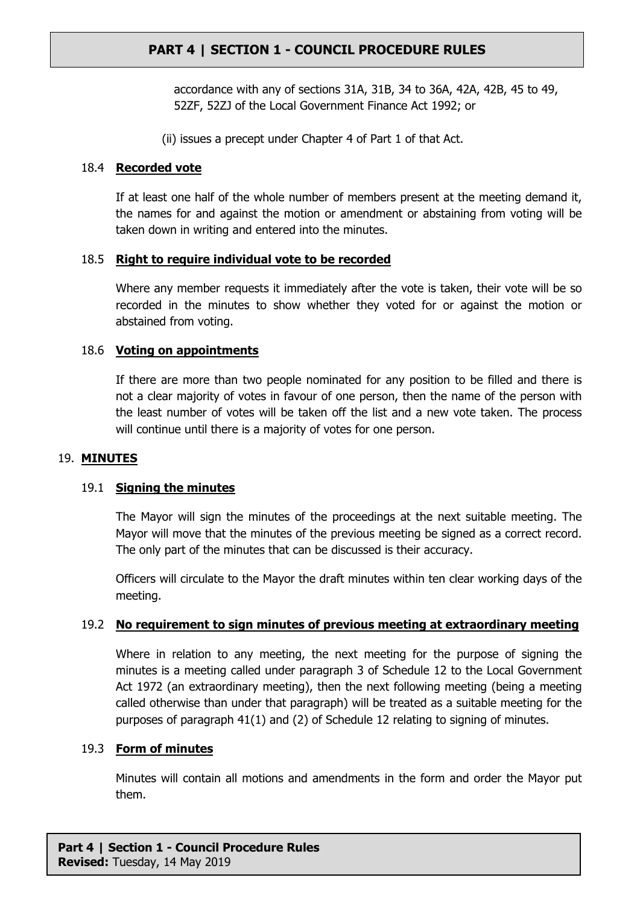accordance with any of sections 31A, 31B, 34 to 36A, 42A, 42B, 45 to 49, 52ZF, 52ZJ of the Local Government Finance Act 1992; or

(ii) issues a precept under Chapter 4 of Part 1 of that Act.

## <span id="page-17-0"></span>18.4 **Recorded vote**

If at least one half of the whole number of members present at the meeting demand it, the names for and against the motion or amendment or abstaining from voting will be taken down in writing and entered into the minutes.

## 18.5 **Right to require individual vote to be recorded**

Where any member requests it immediately after the vote is taken, their vote will be so recorded in the minutes to show whether they voted for or against the motion or abstained from voting.

## 18.6 **Voting on appointments**

If there are more than two people nominated for any position to be filled and there is not a clear majority of votes in favour of one person, then the name of the person with the least number of votes will be taken off the list and a new vote taken. The process will continue until there is a majority of votes for one person.

#### 19. **MINUTES**

# 19.1 **Signing the minutes**

The Mayor will sign the minutes of the proceedings at the next suitable meeting. The Mayor will move that the minutes of the previous meeting be signed as a correct record. The only part of the minutes that can be discussed is their accuracy.

Officers will circulate to the Mayor the draft minutes within ten clear working days of the meeting.

# 19.2 **No requirement to sign minutes of previous meeting at extraordinary meeting**

Where in relation to any meeting, the next meeting for the purpose of signing the minutes is a meeting called under paragraph 3 of Schedule 12 to the Local Government Act 1972 (an extraordinary meeting), then the next following meeting (being a meeting called otherwise than under that paragraph) will be treated as a suitable meeting for the purposes of paragraph 41(1) and (2) of Schedule 12 relating to signing of minutes.

# 19.3 **Form of minutes**

Minutes will contain all motions and amendments in the form and order the Mayor put them.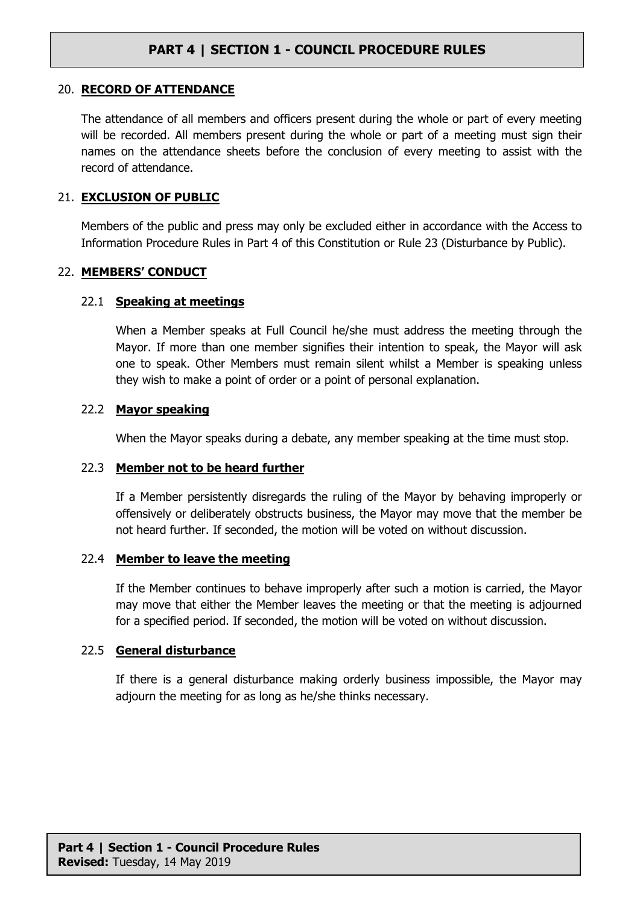#### 20. **RECORD OF ATTENDANCE**

The attendance of all members and officers present during the whole or part of every meeting will be recorded. All members present during the whole or part of a meeting must sign their names on the attendance sheets before the conclusion of every meeting to assist with the record of attendance.

#### 21. **EXCLUSION OF PUBLIC**

Members of the public and press may only be excluded either in accordance with the Access to Information Procedure Rules in Part 4 of this Constitution or Rule [23](#page-19-1) (Disturbance by Public).

#### 22. **MEMBERS' CONDUCT**

#### <span id="page-18-2"></span>22.1 **Speaking at meetings**

When a Member speaks at Full Council he/she must address the meeting through the Mayor. If more than one member signifies their intention to speak, the Mayor will ask one to speak. Other Members must remain silent whilst a Member is speaking unless they wish to make a point of order or a point of personal explanation.

#### 22.2 **Mayor speaking**

When the Mayor speaks during a debate, any member speaking at the time must stop.

#### <span id="page-18-0"></span>22.3 **Member not to be heard further**

If a Member persistently disregards the ruling of the Mayor by behaving improperly or offensively or deliberately obstructs business, the Mayor may move that the member be not heard further. If seconded, the motion will be voted on without discussion.

#### <span id="page-18-1"></span>22.4 **Member to leave the meeting**

If the Member continues to behave improperly after such a motion is carried, the Mayor may move that either the Member leaves the meeting or that the meeting is adjourned for a specified period. If seconded, the motion will be voted on without discussion.

#### 22.5 **General disturbance**

If there is a general disturbance making orderly business impossible, the Mayor may adjourn the meeting for as long as he/she thinks necessary.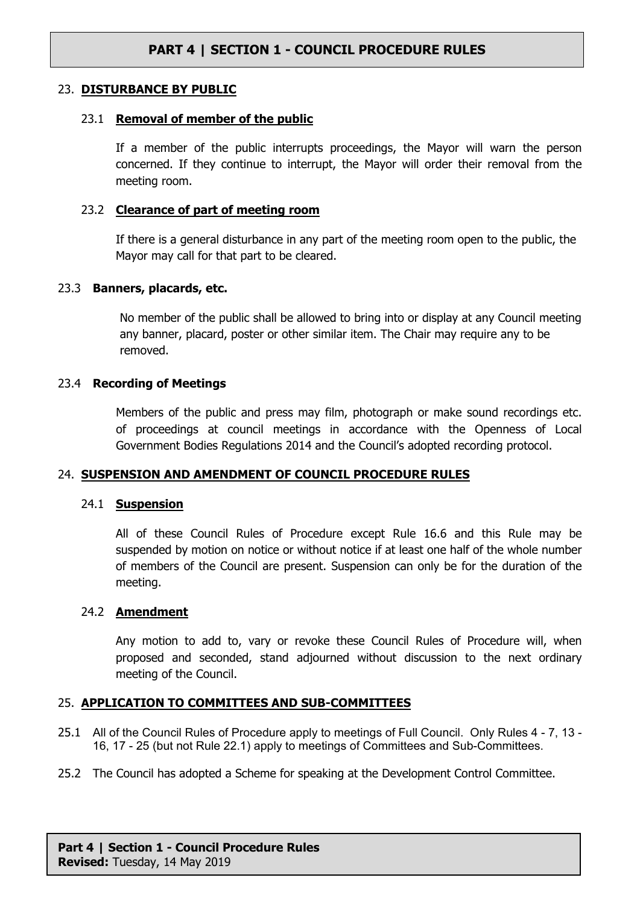### <span id="page-19-1"></span>23. **DISTURBANCE BY PUBLIC**

### 23.1 **Removal of member of the public**

If a member of the public interrupts proceedings, the Mayor will warn the person concerned. If they continue to interrupt, the Mayor will order their removal from the meeting room.

### 23.2 **Clearance of part of meeting room**

If there is a general disturbance in any part of the meeting room open to the public, the Mayor may call for that part to be cleared.

## 23.3 **Banners, placards, etc.**

No member of the public shall be allowed to bring into or display at any Council meeting any banner, placard, poster or other similar item. The Chair may require any to be removed.

## 23.4 **Recording of Meetings**

Members of the public and press may film, photograph or make sound recordings etc. of proceedings at council meetings in accordance with the Openness of Local Government Bodies Regulations 2014 and the Council's adopted recording protocol.

# 24. **SUSPENSION AND AMENDMENT OF COUNCIL PROCEDURE RULES**

#### <span id="page-19-0"></span>24.1 **Suspension**

All of these Council Rules of Procedure except Rule 16.6 and this Rule may be suspended by motion on notice or without notice if at least one half of the whole number of members of the Council are present. Suspension can only be for the duration of the meeting.

#### 24.2 **Amendment**

Any motion to add to, vary or revoke these Council Rules of Procedure will, when proposed and seconded, stand adjourned without discussion to the next ordinary meeting of the Council.

# <span id="page-19-2"></span>25. **APPLICATION TO COMMITTEES AND SUB-COMMITTEES**

- 25.1 All of the Council Rules of Procedure apply to meetings of Full Council. Only Rules [4](#page-2-2) [7](#page-3-0), [13](#page-7-0) [16,](#page-12-0) [17](#page-16-0) - [25](#page-19-2) (but not Rule [22.1](#page-18-2)) apply to meetings of Committees and Sub-Committees.
- 25.2 The Council has adopted a Scheme for speaking at the Development Control Committee.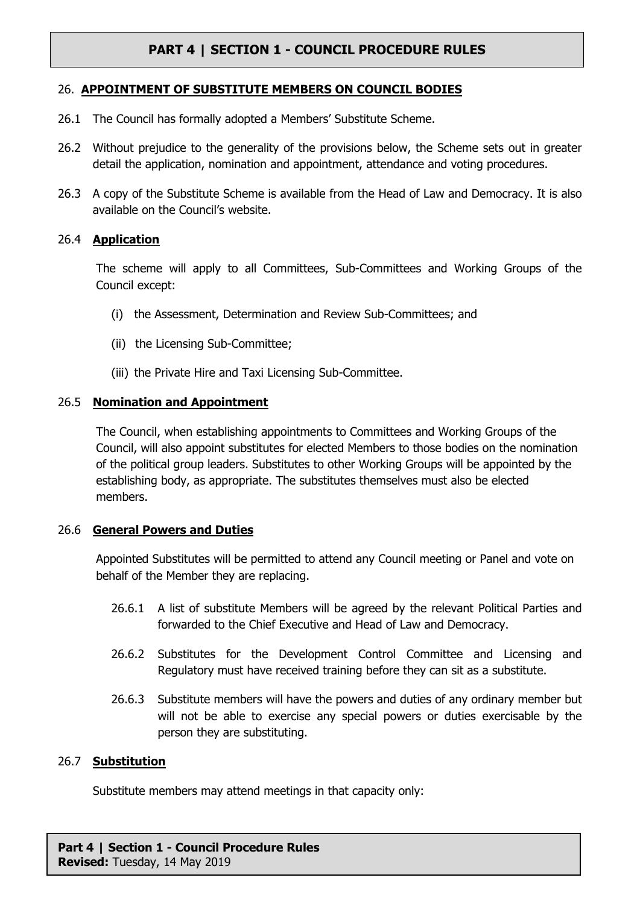## 26. **APPOINTMENT OF SUBSTITUTE MEMBERS ON COUNCIL BODIES**

- 26.1 The Council has formally adopted a Members' Substitute Scheme.
- 26.2 Without prejudice to the generality of the provisions below, the Scheme sets out in greater detail the application, nomination and appointment, attendance and voting procedures.
- 26.3 A copy of the Substitute Scheme is available from the Head of Law and Democracy. It is also available on the Council's website.

## 26.4 **Application**

The scheme will apply to all Committees, Sub-Committees and Working Groups of the Council except:

- (i) the Assessment, Determination and Review Sub-Committees; and
- (ii) the Licensing Sub-Committee;
- (iii) the Private Hire and Taxi Licensing Sub-Committee.

## 26.5 **Nomination and Appointment**

The Council, when establishing appointments to Committees and Working Groups of the Council, will also appoint substitutes for elected Members to those bodies on the nomination of the political group leaders. Substitutes to other Working Groups will be appointed by the establishing body, as appropriate. The substitutes themselves must also be elected members.

#### 26.6 **General Powers and Duties**

Appointed Substitutes will be permitted to attend any Council meeting or Panel and vote on behalf of the Member they are replacing.

- 26.6.1 A list of substitute Members will be agreed by the relevant Political Parties and forwarded to the Chief Executive and Head of Law and Democracy.
- 26.6.2 Substitutes for the Development Control Committee and Licensing and Regulatory must have received training before they can sit as a substitute.
- 26.6.3 Substitute members will have the powers and duties of any ordinary member but will not be able to exercise any special powers or duties exercisable by the person they are substituting.

#### 26.7 **Substitution**

Substitute members may attend meetings in that capacity only: